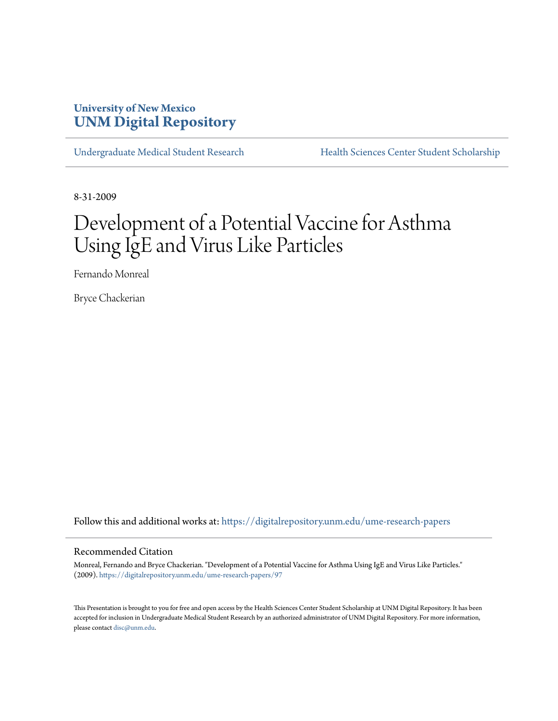## **University of New Mexico [UNM Digital Repository](https://digitalrepository.unm.edu?utm_source=digitalrepository.unm.edu%2Fume-research-papers%2F97&utm_medium=PDF&utm_campaign=PDFCoverPages)**

[Undergraduate Medical Student Research](https://digitalrepository.unm.edu/ume-research-papers?utm_source=digitalrepository.unm.edu%2Fume-research-papers%2F97&utm_medium=PDF&utm_campaign=PDFCoverPages) [Health Sciences Center Student Scholarship](https://digitalrepository.unm.edu/hsc-students?utm_source=digitalrepository.unm.edu%2Fume-research-papers%2F97&utm_medium=PDF&utm_campaign=PDFCoverPages)

8-31-2009

# Development of a Potential Vaccine for Asthma Using IgE and Virus Like Particles

Fernando Monreal

Bryce Chackerian

Follow this and additional works at: [https://digitalrepository.unm.edu/ume-research-papers](https://digitalrepository.unm.edu/ume-research-papers?utm_source=digitalrepository.unm.edu%2Fume-research-papers%2F97&utm_medium=PDF&utm_campaign=PDFCoverPages)

#### Recommended Citation

Monreal, Fernando and Bryce Chackerian. "Development of a Potential Vaccine for Asthma Using IgE and Virus Like Particles." (2009). [https://digitalrepository.unm.edu/ume-research-papers/97](https://digitalrepository.unm.edu/ume-research-papers/97?utm_source=digitalrepository.unm.edu%2Fume-research-papers%2F97&utm_medium=PDF&utm_campaign=PDFCoverPages)

This Presentation is brought to you for free and open access by the Health Sciences Center Student Scholarship at UNM Digital Repository. It has been accepted for inclusion in Undergraduate Medical Student Research by an authorized administrator of UNM Digital Repository. For more information, please contact [disc@unm.edu.](mailto:disc@unm.edu)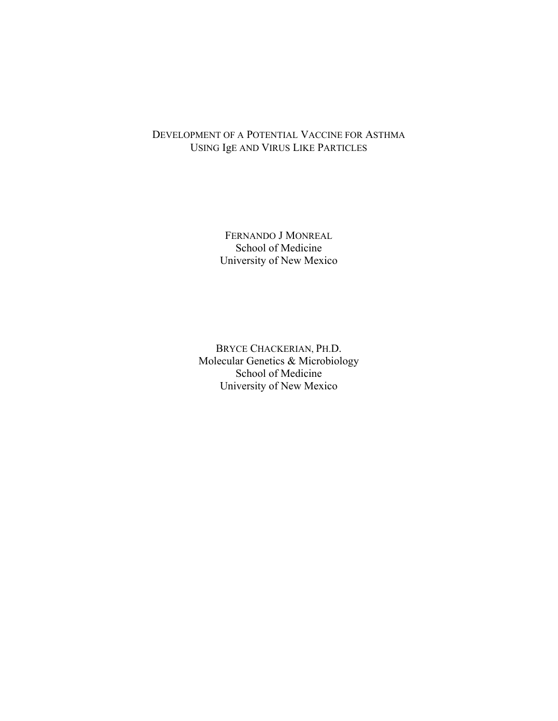## DEVELOPMENT OF A POTENTIAL VACCINE FOR ASTHMA USING IgE AND VIRUS LIKE PARTICLES

FERNANDO J MONREAL School of Medicine University of New Mexico

BRYCE CHACKERIAN, PH.D. Molecular Genetics & Microbiology School of Medicine University of New Mexico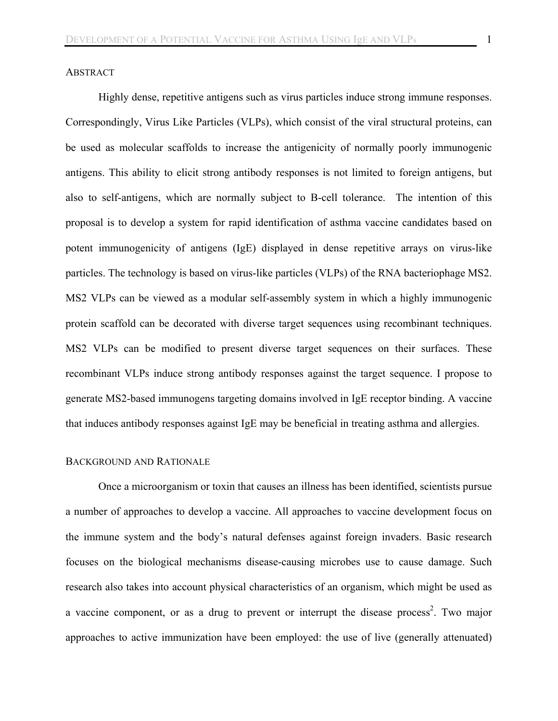## **ABSTRACT**

Highly dense, repetitive antigens such as virus particles induce strong immune responses. Correspondingly, Virus Like Particles (VLPs), which consist of the viral structural proteins, can be used as molecular scaffolds to increase the antigenicity of normally poorly immunogenic antigens. This ability to elicit strong antibody responses is not limited to foreign antigens, but also to self-antigens, which are normally subject to B-cell tolerance. The intention of this proposal is to develop a system for rapid identification of asthma vaccine candidates based on potent immunogenicity of antigens (IgE) displayed in dense repetitive arrays on virus-like particles. The technology is based on virus-like particles (VLPs) of the RNA bacteriophage MS2. MS2 VLPs can be viewed as a modular self-assembly system in which a highly immunogenic protein scaffold can be decorated with diverse target sequences using recombinant techniques. MS2 VLPs can be modified to present diverse target sequences on their surfaces. These recombinant VLPs induce strong antibody responses against the target sequence. I propose to generate MS2-based immunogens targeting domains involved in IgE receptor binding. A vaccine that induces antibody responses against IgE may be beneficial in treating asthma and allergies.

#### BACKGROUND AND RATIONALE

Once a microorganism or toxin that causes an illness has been identified, scientists pursue a number of approaches to develop a vaccine. All approaches to vaccine development focus on the immune system and the body's natural defenses against foreign invaders. Basic research focuses on the biological mechanisms disease-causing microbes use to cause damage. Such research also takes into account physical characteristics of an organism, which might be used as a vaccine component, or as a drug to prevent or interrupt the disease process<sup>2</sup>. Two major approaches to active immunization have been employed: the use of live (generally attenuated)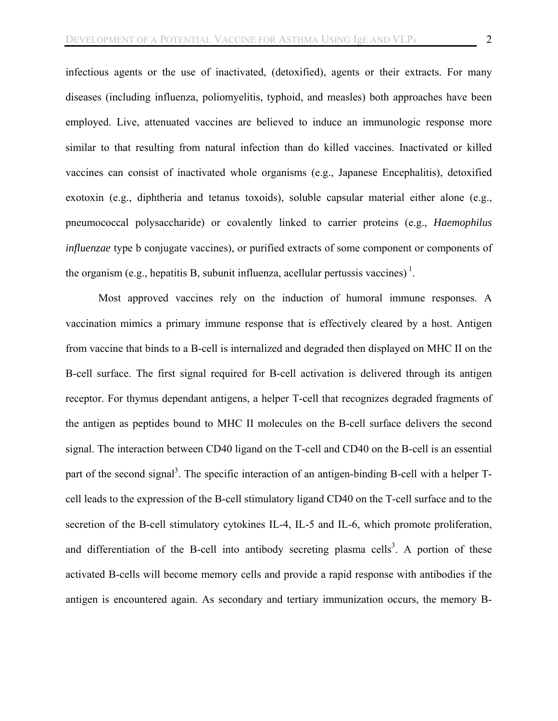infectious agents or the use of inactivated, (detoxified), agents or their extracts. For many diseases (including influenza, poliomyelitis, typhoid, and measles) both approaches have been employed. Live, attenuated vaccines are believed to induce an immunologic response more similar to that resulting from natural infection than do killed vaccines. Inactivated or killed vaccines can consist of inactivated whole organisms (e.g., Japanese Encephalitis), detoxified exotoxin (e.g., diphtheria and tetanus toxoids), soluble capsular material either alone (e.g., pneumococcal polysaccharide) or covalently linked to carrier proteins (e.g., *Haemophilus influenzae* type b conjugate vaccines), or purified extracts of some component or components of the organism (e.g., hepatitis B, subunit influenza, acellular pertussis vaccines)<sup>1</sup>.

Most approved vaccines rely on the induction of humoral immune responses. A vaccination mimics a primary immune response that is effectively cleared by a host. Antigen from vaccine that binds to a B-cell is internalized and degraded then displayed on MHC II on the B-cell surface. The first signal required for B-cell activation is delivered through its antigen receptor. For thymus dependant antigens, a helper T-cell that recognizes degraded fragments of the antigen as peptides bound to MHC II molecules on the B-cell surface delivers the second signal. The interaction between CD40 ligand on the T-cell and CD40 on the B-cell is an essential part of the second signal<sup>3</sup>. The specific interaction of an antigen-binding B-cell with a helper Tcell leads to the expression of the B-cell stimulatory ligand CD40 on the T-cell surface and to the secretion of the B-cell stimulatory cytokines IL-4, IL-5 and IL-6, which promote proliferation, and differentiation of the B-cell into antibody secreting plasma cells<sup>3</sup>. A portion of these activated B-cells will become memory cells and provide a rapid response with antibodies if the antigen is encountered again. As secondary and tertiary immunization occurs, the memory B-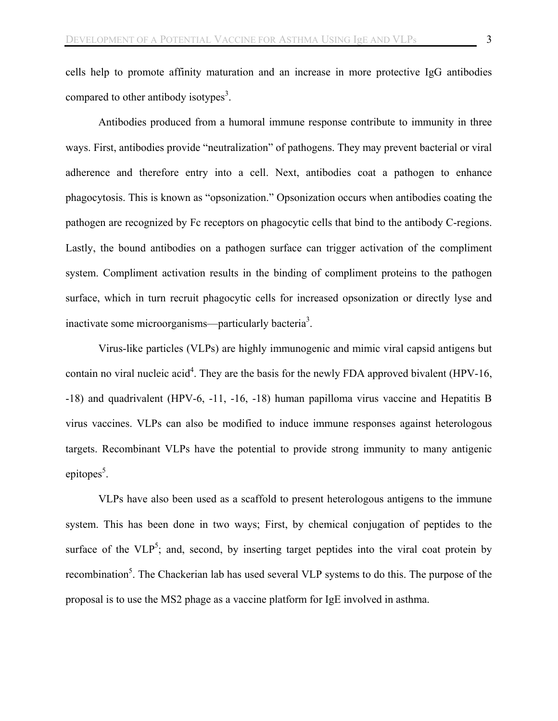cells help to promote affinity maturation and an increase in more protective IgG antibodies compared to other antibody isotypes<sup>3</sup>.

Antibodies produced from a humoral immune response contribute to immunity in three ways. First, antibodies provide "neutralization" of pathogens. They may prevent bacterial or viral adherence and therefore entry into a cell. Next, antibodies coat a pathogen to enhance phagocytosis. This is known as "opsonization." Opsonization occurs when antibodies coating the pathogen are recognized by Fc receptors on phagocytic cells that bind to the antibody C-regions. Lastly, the bound antibodies on a pathogen surface can trigger activation of the compliment system. Compliment activation results in the binding of compliment proteins to the pathogen surface, which in turn recruit phagocytic cells for increased opsonization or directly lyse and inactivate some microorganisms—particularly bacteria<sup>3</sup>.

Virus-like particles (VLPs) are highly immunogenic and mimic viral capsid antigens but contain no viral nucleic acid<sup>4</sup>. They are the basis for the newly FDA approved bivalent (HPV-16, -18) and quadrivalent (HPV-6, -11, -16, -18) human papilloma virus vaccine and Hepatitis B virus vaccines. VLPs can also be modified to induce immune responses against heterologous targets. Recombinant VLPs have the potential to provide strong immunity to many antigenic epitopes<sup>5</sup>.

VLPs have also been used as a scaffold to present heterologous antigens to the immune system. This has been done in two ways; First, by chemical conjugation of peptides to the surface of the  $VLP^5$ ; and, second, by inserting target peptides into the viral coat protein by recombination<sup>5</sup>. The Chackerian lab has used several VLP systems to do this. The purpose of the proposal is to use the MS2 phage as a vaccine platform for IgE involved in asthma.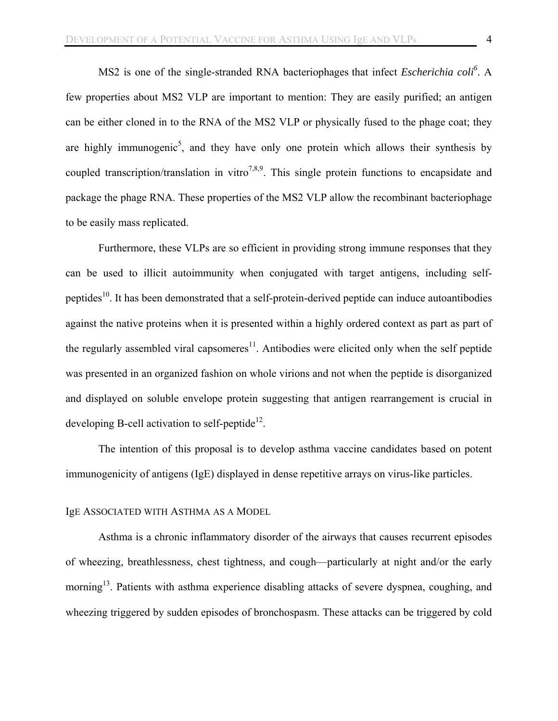MS2 is one of the single-stranded RNA bacteriophages that infect *Escherichia coli<sup>6</sup>* . A few properties about MS2 VLP are important to mention: They are easily purified; an antigen can be either cloned in to the RNA of the MS2 VLP or physically fused to the phage coat; they are highly immunogenic<sup>5</sup>, and they have only one protein which allows their synthesis by coupled transcription/translation in vitro<sup>7,8,9</sup>. This single protein functions to encapsidate and package the phage RNA. These properties of the MS2 VLP allow the recombinant bacteriophage to be easily mass replicated.

Furthermore, these VLPs are so efficient in providing strong immune responses that they can be used to illicit autoimmunity when conjugated with target antigens, including selfpeptides10. It has been demonstrated that a self-protein-derived peptide can induce autoantibodies against the native proteins when it is presented within a highly ordered context as part as part of the regularly assembled viral capsomeres $11$ . Antibodies were elicited only when the self peptide was presented in an organized fashion on whole virions and not when the peptide is disorganized and displayed on soluble envelope protein suggesting that antigen rearrangement is crucial in developing B-cell activation to self-peptide<sup>12</sup>.

The intention of this proposal is to develop asthma vaccine candidates based on potent immunogenicity of antigens (IgE) displayed in dense repetitive arrays on virus-like particles.

## IgE ASSOCIATED WITH ASTHMA AS A MODEL

Asthma is a chronic inflammatory disorder of the airways that causes recurrent episodes of wheezing, breathlessness, chest tightness, and cough—particularly at night and/or the early morning<sup>13</sup>. Patients with asthma experience disabling attacks of severe dyspnea, coughing, and wheezing triggered by sudden episodes of bronchospasm. These attacks can be triggered by cold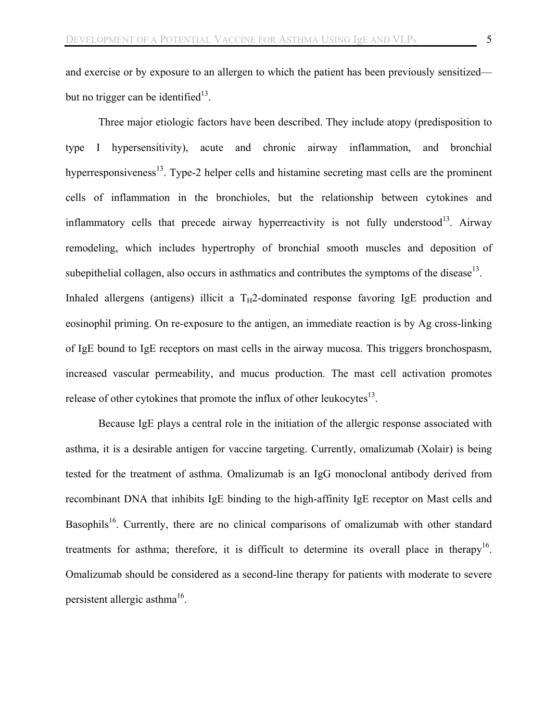and exercise or by exposure to an allergen to which the patient has been previously sensitized but no trigger can be identified $13$ .

Three major etiologic factors have been described. They include atopy (predisposition to type I hypersensitivity), acute and chronic airway inflammation, and bronchial hyperresponsiveness $^{13}$ . Type-2 helper cells and histamine secreting mast cells are the prominent cells of inflammation in the bronchioles, but the relationship between cytokines and inflammatory cells that precede airway hyperreactivity is not fully understood<sup>13</sup>. Airway remodeling, which includes hypertrophy of bronchial smooth muscles and deposition of subepithelial collagen, also occurs in asthmatics and contributes the symptoms of the disease<sup>13</sup>. Inhaled allergens (antigens) illicit a  $T_H$ 2-dominated response favoring IgE production and eosinophil priming. On re-exposure to the antigen, an immediate reaction is by Ag cross-linking of IgE bound to IgE receptors on mast cells in the airway mucosa. This triggers bronchospasm, increased vascular permeability, and mucus production. The mast cell activation promotes release of other cytokines that promote the influx of other leukocytes $^{13}$ .

Because IgE plays a central role in the initiation of the allergic response associated with asthma, it is a desirable antigen for vaccine targeting. Currently, omalizumab (Xolair) is being tested for the treatment of asthma. Omalizumab is an IgG monoclonal antibody derived from recombinant DNA that inhibits IgE binding to the high-affinity IgE receptor on Mast cells and Basophils<sup>16</sup>. Currently, there are no clinical comparisons of omalizumab with other standard treatments for asthma; therefore, it is difficult to determine its overall place in therapy<sup>16</sup>. Omalizumab should be considered as a second-line therapy for patients with moderate to severe persistent allergic asthma<sup>16</sup>.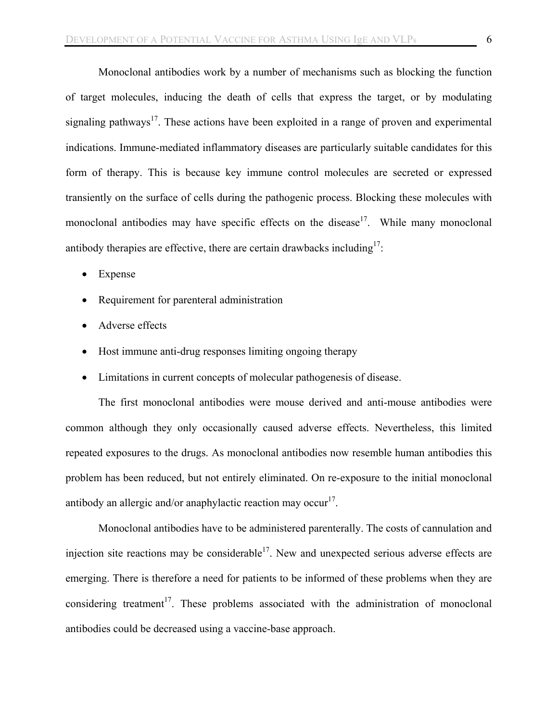Monoclonal antibodies work by a number of mechanisms such as blocking the function of target molecules, inducing the death of cells that express the target, or by modulating signaling pathways<sup>17</sup>. These actions have been exploited in a range of proven and experimental indications. Immune-mediated inflammatory diseases are particularly suitable candidates for this form of therapy. This is because key immune control molecules are secreted or expressed transiently on the surface of cells during the pathogenic process. Blocking these molecules with monoclonal antibodies may have specific effects on the disease<sup>17</sup>. While many monoclonal antibody therapies are effective, there are certain drawbacks including<sup>17</sup>:

- Expense
- Requirement for parenteral administration
- Adverse effects
- Host immune anti-drug responses limiting ongoing therapy
- Limitations in current concepts of molecular pathogenesis of disease.

The first monoclonal antibodies were mouse derived and anti-mouse antibodies were common although they only occasionally caused adverse effects. Nevertheless, this limited repeated exposures to the drugs. As monoclonal antibodies now resemble human antibodies this problem has been reduced, but not entirely eliminated. On re-exposure to the initial monoclonal antibody an allergic and/or anaphylactic reaction may occur<sup>17</sup>.

Monoclonal antibodies have to be administered parenterally. The costs of cannulation and injection site reactions may be considerable<sup>17</sup>. New and unexpected serious adverse effects are emerging. There is therefore a need for patients to be informed of these problems when they are considering treatment<sup>17</sup>. These problems associated with the administration of monoclonal antibodies could be decreased using a vaccine-base approach.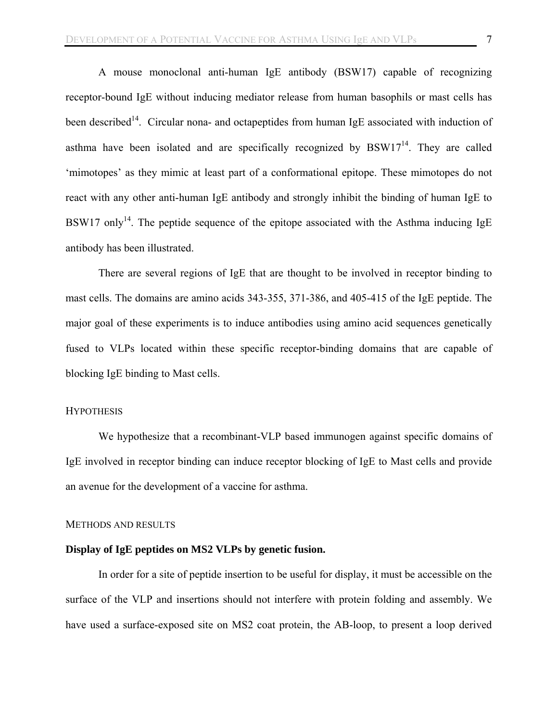A mouse monoclonal anti-human IgE antibody (BSW17) capable of recognizing receptor-bound IgE without inducing mediator release from human basophils or mast cells has been described<sup>14</sup>. Circular nona- and octapeptides from human IgE associated with induction of asthma have been isolated and are specifically recognized by  $BSW17<sup>14</sup>$ . They are called 'mimotopes' as they mimic at least part of a conformational epitope. These mimotopes do not react with any other anti-human IgE antibody and strongly inhibit the binding of human IgE to BSW17 only<sup>14</sup>. The peptide sequence of the epitope associated with the Asthma inducing IgE antibody has been illustrated.

There are several regions of IgE that are thought to be involved in receptor binding to mast cells. The domains are amino acids 343-355, 371-386, and 405-415 of the IgE peptide. The major goal of these experiments is to induce antibodies using amino acid sequences genetically fused to VLPs located within these specific receptor-binding domains that are capable of blocking IgE binding to Mast cells.

## **HYPOTHESIS**

We hypothesize that a recombinant-VLP based immunogen against specific domains of IgE involved in receptor binding can induce receptor blocking of IgE to Mast cells and provide an avenue for the development of a vaccine for asthma.

#### METHODS AND RESULTS

#### **Display of IgE peptides on MS2 VLPs by genetic fusion.**

In order for a site of peptide insertion to be useful for display, it must be accessible on the surface of the VLP and insertions should not interfere with protein folding and assembly. We have used a surface-exposed site on MS2 coat protein, the AB-loop, to present a loop derived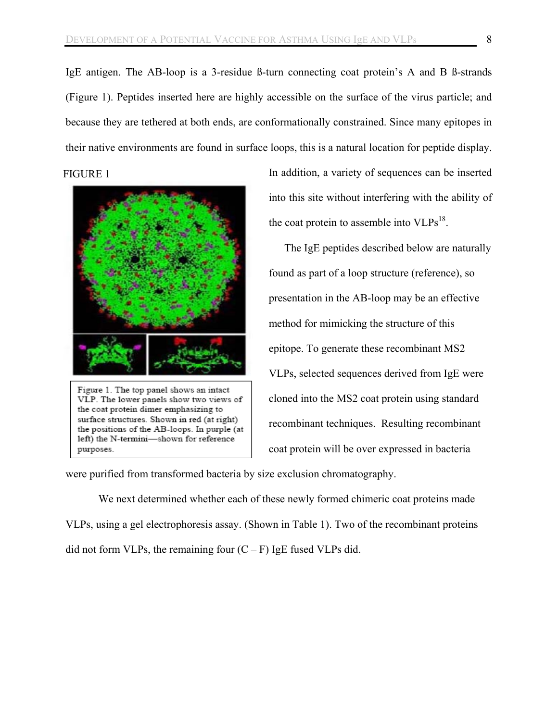IgE antigen. The AB-loop is a 3-residue ß-turn connecting coat protein's A and B ß-strands (Figure 1). Peptides inserted here are highly accessible on the surface of the virus particle; and because they are tethered at both ends, are conformationally constrained. Since many epitopes in their native environments are found in surface loops, this is a natural location for peptide display.

FIGURE 1



Figure 1. The top panel shows an intact VLP. The lower panels show two views of the coat protein dimer emphasizing to surface structures. Shown in red (at right) the positions of the AB-loops. In purple (at left) the N-termini-shown for reference purposes.

In addition, a variety of sequences can be inserted into this site without interfering with the ability of the coat protein to assemble into  $VLPs^{18}$ .

The IgE peptides described below are naturally found as part of a loop structure (reference), so presentation in the AB-loop may be an effective method for mimicking the structure of this epitope. To generate these recombinant MS2 VLPs, selected sequences derived from IgE were cloned into the MS2 coat protein using standard recombinant techniques. Resulting recombinant coat protein will be over expressed in bacteria

were purified from transformed bacteria by size exclusion chromatography.

We next determined whether each of these newly formed chimeric coat proteins made VLPs, using a gel electrophoresis assay. (Shown in Table 1). Two of the recombinant proteins did not form VLPs, the remaining four  $(C - F)$  IgE fused VLPs did.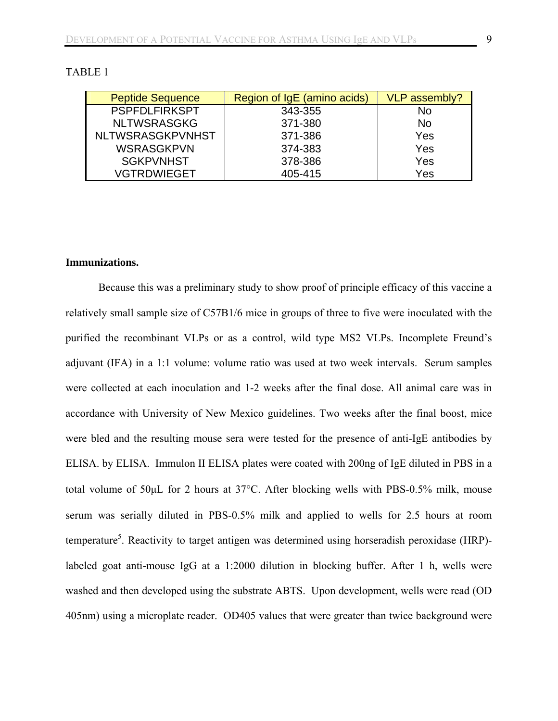| <b>Peptide Sequence</b> | Region of IgE (amino acids) | VLP assembly? |
|-------------------------|-----------------------------|---------------|
| <b>PSPFDLFIRKSPT</b>    | 343-355                     | No            |
| <b>NLTWSRASGKG</b>      | 371-380                     | <b>No</b>     |
| <b>NLTWSRASGKPVNHST</b> | 371-386                     | Yes           |
| <b>WSRASGKPVN</b>       | 374-383                     | Yes           |
| <b>SGKPVNHST</b>        | 378-386                     | Yes           |
| VGTRDWIEGET             | 405-415                     | Yes           |

## TABLE 1

#### **Immunizations.**

Because this was a preliminary study to show proof of principle efficacy of this vaccine a relatively small sample size of C57B1/6 mice in groups of three to five were inoculated with the purified the recombinant VLPs or as a control, wild type MS2 VLPs. Incomplete Freund's adjuvant (IFA) in a 1:1 volume: volume ratio was used at two week intervals. Serum samples were collected at each inoculation and 1-2 weeks after the final dose. All animal care was in accordance with University of New Mexico guidelines. Two weeks after the final boost, mice were bled and the resulting mouse sera were tested for the presence of anti-IgE antibodies by ELISA. by ELISA. Immulon II ELISA plates were coated with 200ng of IgE diluted in PBS in a total volume of 50μL for 2 hours at 37°C. After blocking wells with PBS-0.5% milk, mouse serum was serially diluted in PBS-0.5% milk and applied to wells for 2.5 hours at room temperature<sup>5</sup>. Reactivity to target antigen was determined using horseradish peroxidase (HRP)labeled goat anti-mouse IgG at a 1:2000 dilution in blocking buffer. After 1 h, wells were washed and then developed using the substrate ABTS. Upon development, wells were read (OD 405nm) using a microplate reader. OD405 values that were greater than twice background were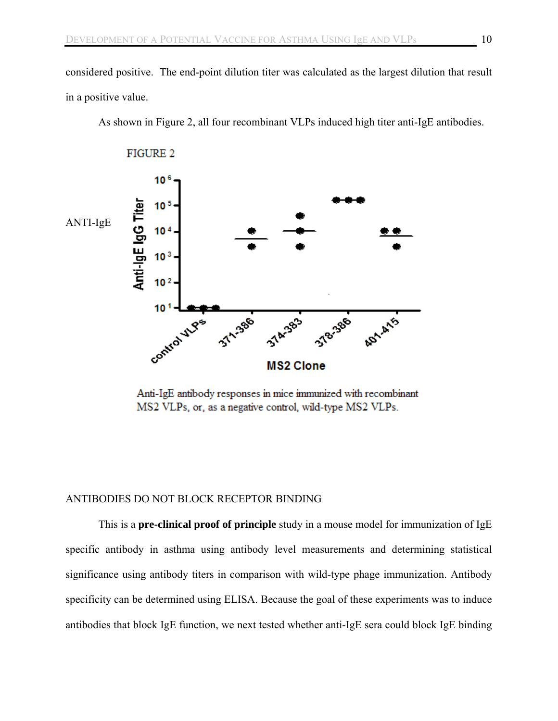considered positive. The end-point dilution titer was calculated as the largest dilution that result in a positive value.

As shown in Figure 2, all four recombinant VLPs induced high titer anti-IgE antibodies.



Anti-IgE antibody responses in mice immunized with recombinant MS2 VLPs, or, as a negative control, wild-type MS2 VLPs.

## ANTIBODIES DO NOT BLOCK RECEPTOR BINDING

This is a **pre-clinical proof of principle** study in a mouse model for immunization of IgE specific antibody in asthma using antibody level measurements and determining statistical significance using antibody titers in comparison with wild-type phage immunization. Antibody specificity can be determined using ELISA. Because the goal of these experiments was to induce antibodies that block IgE function, we next tested whether anti-IgE sera could block IgE binding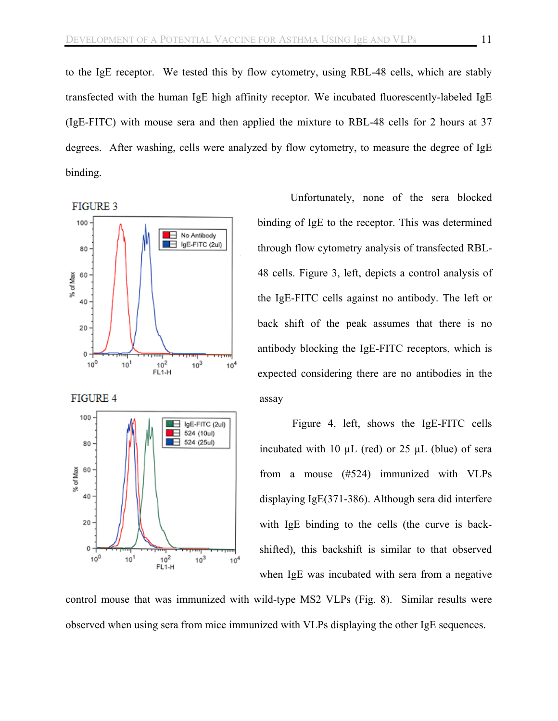to the IgE receptor. We tested this by flow cytometry, using RBL-48 cells, which are stably transfected with the human IgE high affinity receptor. We incubated fluorescently-labeled IgE (IgE-FITC) with mouse sera and then applied the mixture to RBL-48 cells for 2 hours at 37 degrees. After washing, cells were analyzed by flow cytometry, to measure the degree of IgE binding.



Unfortunately, none of the sera blocked binding of IgE to the receptor. This was determined through flow cytometry analysis of transfected RBL-48 cells. Figure 3, left, depicts a control analysis of the IgE-FITC cells against no antibody. The left or back shift of the peak assumes that there is no antibody blocking the IgE-FITC receptors, which is assay expected considering there are no antibodies in the

Figure 4, left, shows the IgE-FITC cells incubated with 10  $\mu$ L (red) or 25  $\mu$ L (blue) of sera from a mouse (#524) immunized with VLPs displaying IgE(371-386). Although sera did interfere with IgE binding to the cells (the curve is backshifted), this backshift is similar to that observed when IgE was incubated with sera from a negative

control mouse that was immunized with wild-type MS2 VLPs (Fig. 8). Similar results were observed when using sera from mice immunized with VLPs displaying the other IgE sequences.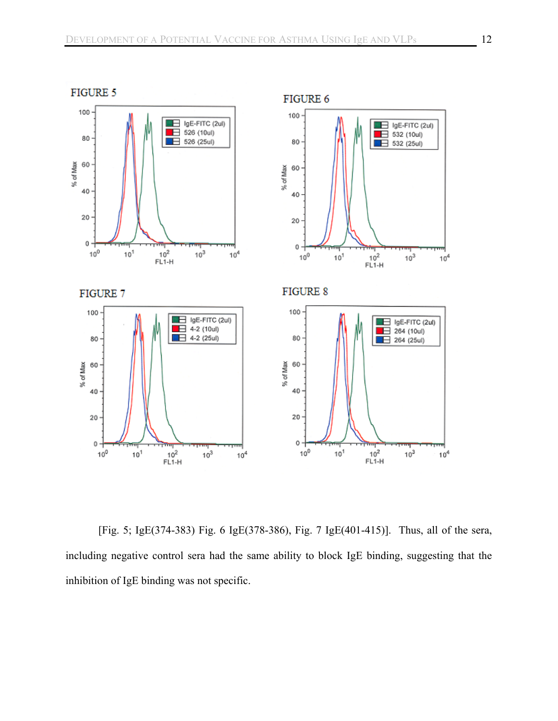

[Fig. 5; IgE(374-383) Fig. 6 IgE(378-386), Fig. 7 IgE(401-415)]. Thus, all of the sera, including negative control sera had the same ability to block IgE binding, suggesting that the inhibition of IgE binding was not specific.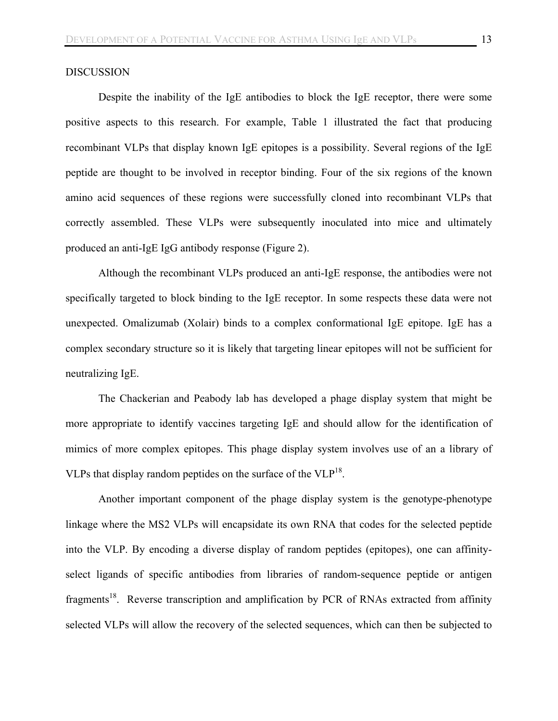#### DISCUSSION

Despite the inability of the IgE antibodies to block the IgE receptor, there were some positive aspects to this research. For example, Table 1 illustrated the fact that producing recombinant VLPs that display known IgE epitopes is a possibility. Several regions of the IgE peptide are thought to be involved in receptor binding. Four of the six regions of the known amino acid sequences of these regions were successfully cloned into recombinant VLPs that correctly assembled. These VLPs were subsequently inoculated into mice and ultimately produced an anti-IgE IgG antibody response (Figure 2).

Although the recombinant VLPs produced an anti-IgE response, the antibodies were not specifically targeted to block binding to the IgE receptor. In some respects these data were not unexpected. Omalizumab (Xolair) binds to a complex conformational IgE epitope. IgE has a complex secondary structure so it is likely that targeting linear epitopes will not be sufficient for neutralizing IgE.

 The Chackerian and Peabody lab has developed a phage display system that might be more appropriate to identify vaccines targeting IgE and should allow for the identification of mimics of more complex epitopes. This phage display system involves use of an a library of VLPs that display random peptides on the surface of the  $VLP<sup>18</sup>$ .

Another important component of the phage display system is the genotype-phenotype linkage where the MS2 VLPs will encapsidate its own RNA that codes for the selected peptide into the VLP. By encoding a diverse display of random peptides (epitopes), one can affinityselect ligands of specific antibodies from libraries of random-sequence peptide or antigen fragments<sup>18</sup>. Reverse transcription and amplification by PCR of RNAs extracted from affinity selected VLPs will allow the recovery of the selected sequences, which can then be subjected to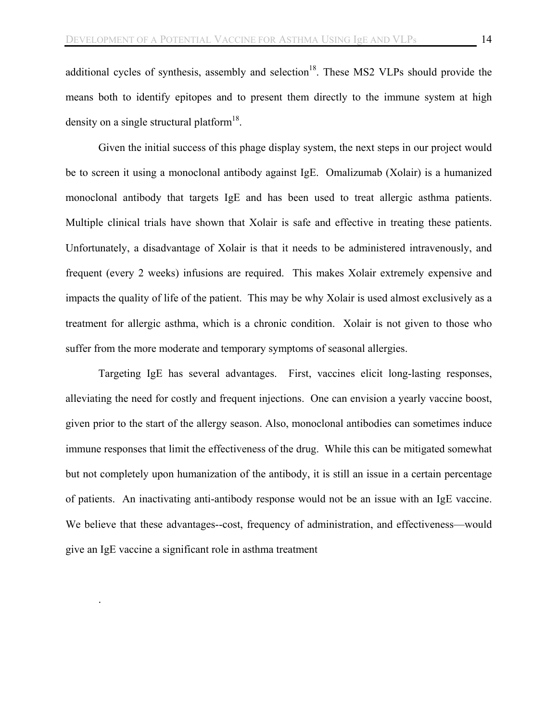additional cycles of synthesis, assembly and selection<sup>18</sup>. These MS2 VLPs should provide the means both to identify epitopes and to present them directly to the immune system at high density on a single structural platform<sup>18</sup>.

Given the initial success of this phage display system, the next steps in our project would be to screen it using a monoclonal antibody against IgE. Omalizumab (Xolair) is a humanized monoclonal antibody that targets IgE and has been used to treat allergic asthma patients. Multiple clinical trials have shown that Xolair is safe and effective in treating these patients. Unfortunately, a disadvantage of Xolair is that it needs to be administered intravenously, and frequent (every 2 weeks) infusions are required. This makes Xolair extremely expensive and impacts the quality of life of the patient. This may be why Xolair is used almost exclusively as a treatment for allergic asthma, which is a chronic condition. Xolair is not given to those who suffer from the more moderate and temporary symptoms of seasonal allergies.

Targeting IgE has several advantages. First, vaccines elicit long-lasting responses, alleviating the need for costly and frequent injections. One can envision a yearly vaccine boost, given prior to the start of the allergy season. Also, monoclonal antibodies can sometimes induce immune responses that limit the effectiveness of the drug. While this can be mitigated somewhat but not completely upon humanization of the antibody, it is still an issue in a certain percentage of patients. An inactivating anti-antibody response would not be an issue with an IgE vaccine. We believe that these advantages--cost, frequency of administration, and effectiveness—would give an IgE vaccine a significant role in asthma treatment

.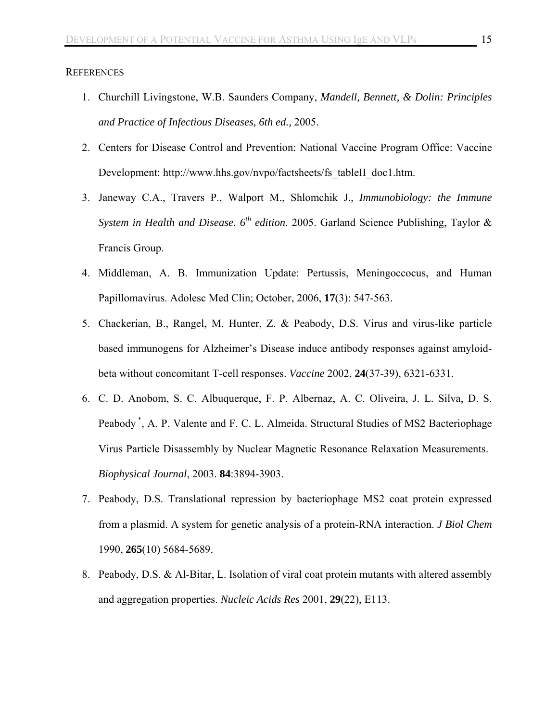#### **REFERENCES**

- 1. Churchill Livingstone, W.B. Saunders Company, *Mandell, Bennett, & Dolin: Principles and Practice of Infectious Diseases, 6th ed.,* 2005.
- 2. Centers for Disease Control and Prevention: National Vaccine Program Office: Vaccine Development: http://www.hhs.gov/nvpo/factsheets/fs\_tableII\_doc1.htm.
- 3. Janeway C.A., Travers P., Walport M., Shlomchik J., *Immunobiology: the Immune System in Health and Disease.*  $6^{th}$  *edition.* 2005. Garland Science Publishing, Taylor & Francis Group.
- 4. Middleman, A. B. Immunization Update: Pertussis, Meningoccocus, and Human Papillomavirus. Adolesc Med Clin; October, 2006, **17**(3): 547-563.
- 5. Chackerian, B., Rangel, M. Hunter, Z. & Peabody, D.S. Virus and virus-like particle based immunogens for Alzheimer's Disease induce antibody responses against amyloidbeta without concomitant T-cell responses. *Vaccine* 2002, **24**(37-39), 6321-6331.
- 6. C. D. Anobom, S. C. Albuquerque, F. P. Albernaz, A. C. Oliveira, J. L. Silva, D. S. Peabody<sup>\*</sup>, A. P. Valente and F. C. L. Almeida. Structural Studies of MS2 Bacteriophage Virus Particle Disassembly by Nuclear Magnetic Resonance Relaxation Measurements. *Biophysical Journal*, 2003. **84**:3894-3903.
- 7. Peabody, D.S. Translational repression by bacteriophage MS2 coat protein expressed from a plasmid. A system for genetic analysis of a protein-RNA interaction. *J Biol Chem* 1990, **265**(10) 5684-5689.
- 8. Peabody, D.S. & Al-Bitar, L. Isolation of viral coat protein mutants with altered assembly and aggregation properties. *Nucleic Acids Res* 2001, **29**(22), E113.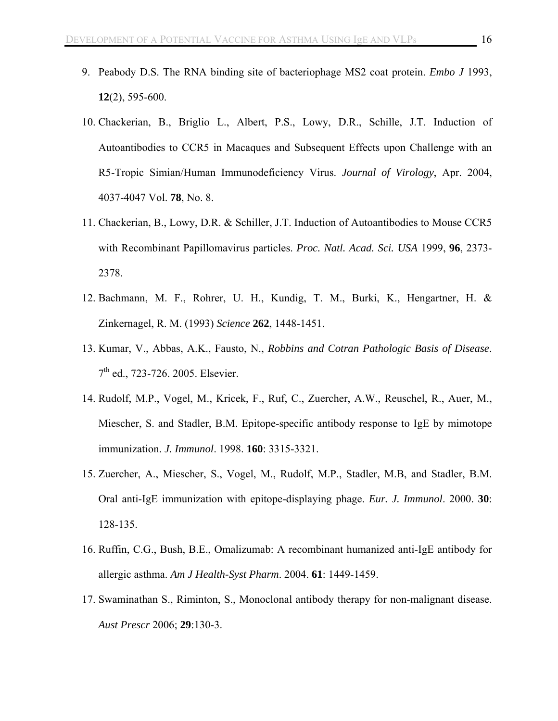- 9. Peabody D.S. The RNA binding site of bacteriophage MS2 coat protein. *Embo J* 1993, **12**(2), 595-600.
- 10. Chackerian, B., Briglio L., Albert, P.S., Lowy, D.R., Schille, J.T. Induction of Autoantibodies to CCR5 in Macaques and Subsequent Effects upon Challenge with an R5-Tropic Simian/Human Immunodeficiency Virus. *Journal of Virology*, Apr. 2004, 4037-4047 Vol. **78**, No. 8.
- 11. Chackerian, B., Lowy, D.R. & Schiller, J.T. Induction of Autoantibodies to Mouse CCR5 with Recombinant Papillomavirus particles. *Proc. Natl. Acad. Sci. USA* 1999, **96**, 2373- 2378.
- 12. Bachmann, M. F., Rohrer, U. H., Kundig, T. M., Burki, K., Hengartner, H. & Zinkernagel, R. M. (1993) *Science* **262**, 1448-1451.
- 13. Kumar, V., Abbas, A.K., Fausto, N., *Robbins and Cotran Pathologic Basis of Disease*. 7<sup>th</sup> ed., 723-726. 2005. Elsevier.
- 14. Rudolf, M.P., Vogel, M., Kricek, F., Ruf, C., Zuercher, A.W., Reuschel, R., Auer, M., Miescher, S. and Stadler, B.M. Epitope-specific antibody response to IgE by mimotope immunization. *J. Immunol*. 1998. **160**: 3315-3321.
- 15. Zuercher, A., Miescher, S., Vogel, M., Rudolf, M.P., Stadler, M.B, and Stadler, B.M. Oral anti-IgE immunization with epitope-displaying phage. *Eur. J. Immunol*. 2000. **30**: 128-135.
- 16. Ruffin, C.G., Bush, B.E., Omalizumab: A recombinant humanized anti-IgE antibody for allergic asthma. *Am J Health-Syst Pharm*. 2004. **61**: 1449-1459.
- 17. Swaminathan S., Riminton, S., Monoclonal antibody therapy for non-malignant disease. *Aust Prescr* 2006; **29**:130-3.